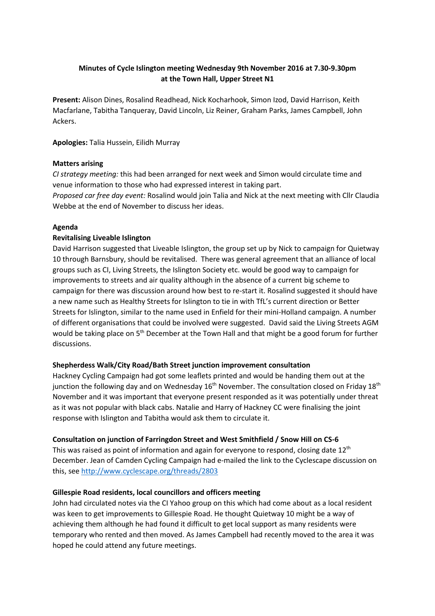# **Minutes of Cycle Islington meeting Wednesday 9th November 2016 at 7.30-9.30pm at the Town Hall, Upper Street N1**

**Present:** Alison Dines, Rosalind Readhead, Nick Kocharhook, Simon Izod, David Harrison, Keith Macfarlane, Tabitha Tanqueray, David Lincoln, Liz Reiner, Graham Parks, James Campbell, John Ackers.

**Apologies:** Talia Hussein, Eilidh Murray

### **Matters arising**

*CI strategy meeting:* this had been arranged for next week and Simon would circulate time and venue information to those who had expressed interest in taking part.

*Proposed car free day event:* Rosalind would join Talia and Nick at the next meeting with Cllr Claudia Webbe at the end of November to discuss her ideas.

### **Agenda**

### **Revitalising Liveable Islington**

David Harrison suggested that Liveable Islington, the group set up by Nick to campaign for Quietway 10 through Barnsbury, should be revitalised. There was general agreement that an alliance of local groups such as CI, Living Streets, the Islington Society etc. would be good way to campaign for improvements to streets and air quality although in the absence of a current big scheme to campaign for there was discussion around how best to re-start it. Rosalind suggested it should have a new name such as Healthy Streets for Islington to tie in with TfL's current direction or Better Streets for Islington, similar to the name used in Enfield for their mini-Holland campaign. A number of different organisations that could be involved were suggested. David said the Living Streets AGM would be taking place on 5<sup>th</sup> December at the Town Hall and that might be a good forum for further discussions.

#### **Shepherdess Walk/City Road/Bath Street junction improvement consultation**

Hackney Cycling Campaign had got some leaflets printed and would be handing them out at the junction the following day and on Wednesday  $16<sup>th</sup>$  November. The consultation closed on Friday  $18<sup>th</sup>$ November and it was important that everyone present responded as it was potentially under threat as it was not popular with black cabs. Natalie and Harry of Hackney CC were finalising the joint response with Islington and Tabitha would ask them to circulate it.

#### **Consultation on junction of Farringdon Street and West Smithfield / Snow Hill on CS-6**

This was raised as point of information and again for everyone to respond, closing date 12<sup>th</sup> December. Jean of Camden Cycling Campaign had e-mailed the link to the Cyclescape discussion on this, see<http://www.cyclescape.org/threads/2803>

## **Gillespie Road residents, local councillors and officers meeting**

John had circulated notes via the CI Yahoo group on this which had come about as a local resident was keen to get improvements to Gillespie Road. He thought Quietway 10 might be a way of achieving them although he had found it difficult to get local support as many residents were temporary who rented and then moved. As James Campbell had recently moved to the area it was hoped he could attend any future meetings.